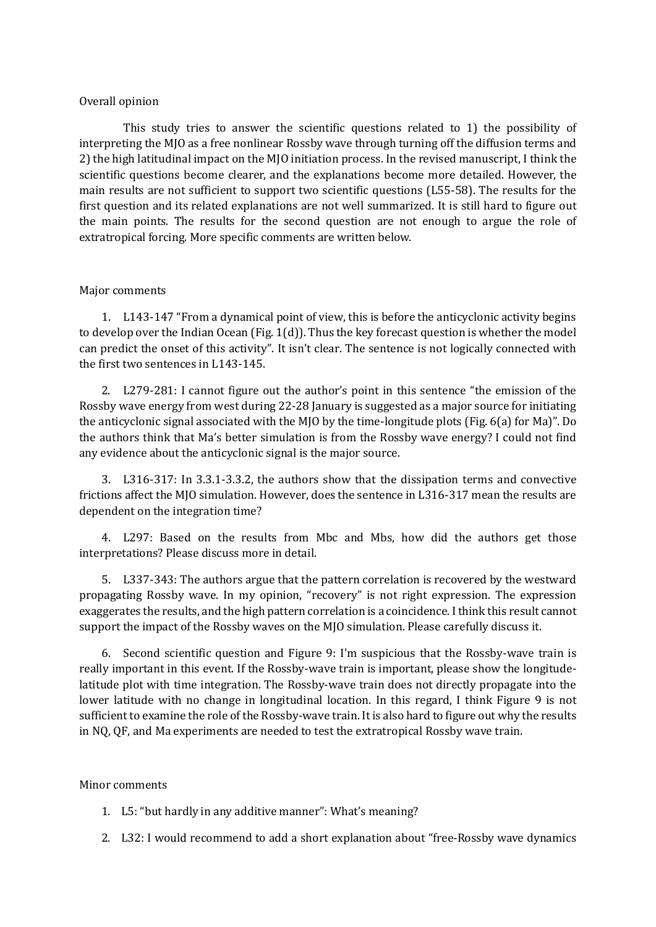## Overall opinion

This study tries to answer the scientific questions related to 1) the possibility of interpreting the MJO as a free nonlinear Rossby wave through turning off the diffusion terms and 2) the high latitudinal impact on the MJO initiation process. In the revised manuscript, I think the scientific questions become clearer, and the explanations become more detailed. However, the main results are not sufficient to support two scientific questions (L55-58). The results for the first question and its related explanations are not well summarized. It is still hard to figure out the main points. The results for the second question are not enough to argue the role of extratropical forcing. More specific comments are written below.

## Major comments

1. L143-147 "From a dynamical point of view, this is before the anticyclonic activity begins to develop over the Indian Ocean (Fig. 1(d)). Thus the key forecast question is whether the model can predict the onset of this activity". It isn't clear. The sentence is not logically connected with the first two sentences in L143-145.

2. L279-281: I cannot figure out the author's point in this sentence "the emission of the Rossby wave energy from west during 22-28 January is suggested as a major source for initiating the anticyclonic signal associated with the MJO by the time-longitude plots (Fig. 6(a) for Ma)". Do the authors think that Ma's better simulation is from the Rossby wave energy? I could not find any evidence about the anticyclonic signal is the major source.

3. L316-317: In 3.3.1-3.3.2, the authors show that the dissipation terms and convective frictions affect the MJO simulation. However, does the sentence in L316-317 mean the results are dependent on the integration time?

4. L297: Based on the results from Mbc and Mbs, how did the authors get those interpretations? Please discuss more in detail.

5. L337-343: The authors argue that the pattern correlation is recovered by the westward propagating Rossby wave. In my opinion, "recovery" is not right expression. The expression exaggerates the results, and the high pattern correlation is a coincidence. I think this result cannot support the impact of the Rossby waves on the MJO simulation. Please carefully discuss it.

6. Second scientific question and Figure 9: I'm suspicious that the Rossby-wave train is really important in this event. If the Rossby-wave train is important, please show the longitudelatitude plot with time integration. The Rossby-wave train does not directly propagate into the lower latitude with no change in longitudinal location. In this regard, I think Figure 9 is not sufficient to examine the role of the Rossby-wave train. It is also hard to figure out why the results in NQ, QF, and Ma experiments are needed to test the extratropical Rossby wave train.

## Minor comments

- 1. L5: "but hardly in any additive manner": What's meaning?
- 2. L32: I would recommend to add a short explanation about "free-Rossby wave dynamics